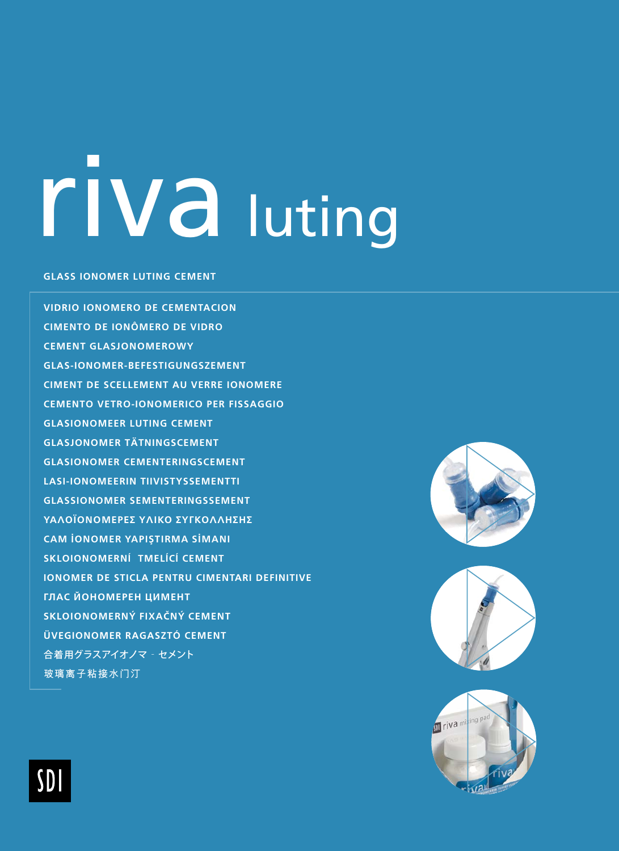## riva luting

#### **GLASS IONOMER LUTING CEMENT**

VIDRIO IONOMERO DE CEMENTACIÓN **CIMENTO DE IONÔMERO DE VIDRO CEMENT GLASJONOMEROWY GLAS-IONOMER-BEFESTIGUNGSZEMENT** CIMENT DE SCELLEMENT AU VERRE IONOMERE **CEMENTO VETRO-IONOMERICO PER FISSAGGIO GLASIONOMEER LUTING CEMENT GLASJONOMER TÄTNINGSCEMENT GLASIONOMER CEMENTERINGSCEMENT LASI-IONOMEERIN TIIVISTYSSEMENTTI GLASSIONOMER SEMENTERINGSSEMENT** ΥΑΛΟΪΟΝΟΜΕΡΕΣ ΥΛΙΚΟ ΣΥΓΚΟΛΛΗΣΗΣ **CAM IONOMER YAPISTIRMA SIMANI** SKLOIONOMERNÍ TMELÍCÍ CEMENT **IONOMER DE STICLA PENTRU CIMENTARI DEFINITIVE** ГЛАС ЙОНОМЕРЕН ЦИМЕНТ SKLOIONOMERNÝ FIXAČNÝ CEMENT **ÜVEGIONOMER RAGASZTÓ CEMENT** 合着用グラスアイオノマ - セメント 玻璃离子粘接水门汀







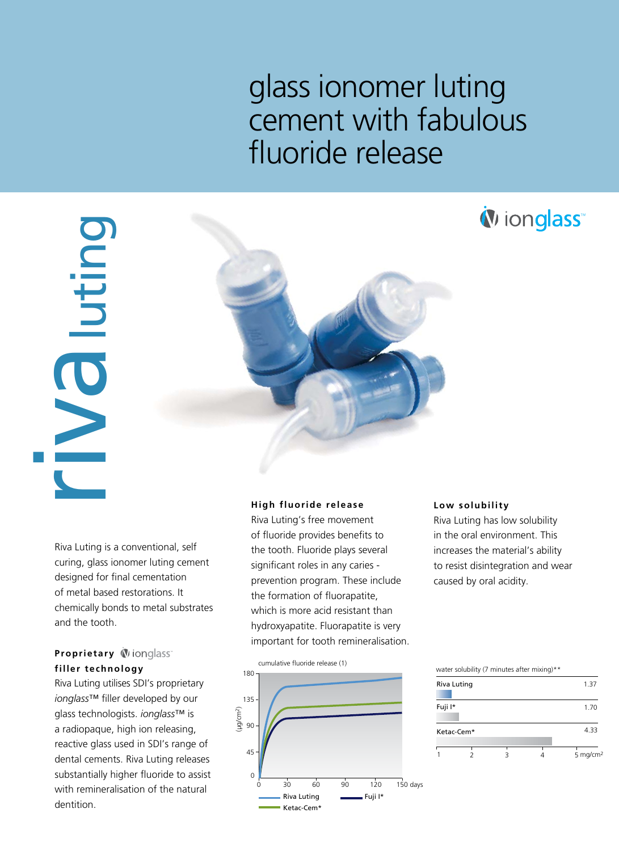### glass ionomer luting cement with fabulous fluoride release



Riva Luting is a conventional, self curing, glass ionomer luting cement designed for final cementation of metal based restorations. It chemically bonds to metal substrates and the tooth.

#### **Proprietary Winnglass filler technology**

Riva Luting utilises SDI's proprietary *ionglass*™ filler developed by our glass technologists. *ionglass*™ is a radiopaque, high ion releasing, reactive glass used in SDI's range of dental cements. Riva Luting releases substantially higher fluoride to assist with remineralisation of the natural dentition.

#### **High fluoride release**

Riva Luting's free movement of fluoride provides benefits to the tooth. Fluoride plays several significant roles in any caries prevention program. These include the formation of fluorapatite, which is more acid resistant than hydroxyapatite. Fluorapatite is very important for tooth remineralisation.



#### **Low solubility**

Riva Luting has low solubility in the oral environment. This increases the material's ability to resist disintegration and wear caused by oral acidity.

| water solubility (7 minutes after mixing)** |             |  |  |                      |  |
|---------------------------------------------|-------------|--|--|----------------------|--|
|                                             | Riva Luting |  |  | 1.37                 |  |
| Fuji I*                                     |             |  |  | 1.70                 |  |
|                                             | Ketac-Cem*  |  |  | 4.33                 |  |
|                                             |             |  |  | 5 mg/cm <sup>2</sup> |  |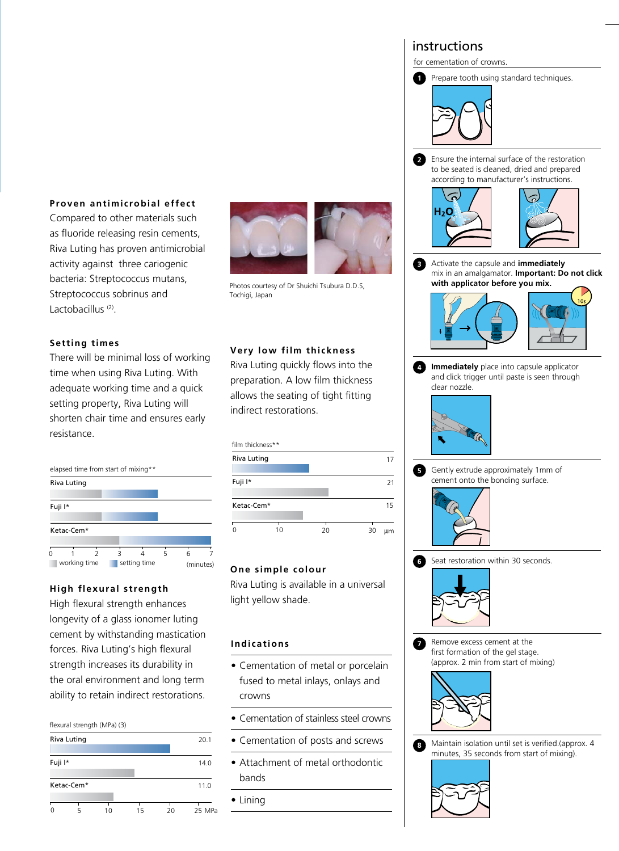for cementation of crowns.





Ensure the internal surface of the restoration **2** to be seated is cleaned, dried and prepared according to manufacturer's instructions.



**3** Activate the capsule and **immediately** mix in an amalgamator. **Important: Do not click with applicator before you mix.**



**Immediately** place into capsule applicator **4** and click trigger until paste is seen through clear nozzle.



Gently extrude approximately 1mm of **5** cement onto the bonding surface.



**6** Seat restoration within 30 seconds.



Remove excess cement at the first formation of the gel stage. (approx. 2 min from start of mixing) **7**



Maintain isolation until set is verified.(approx. 4 minutes, 35 seconds from start of mixing). **8**



#### **Proven antimicrobial effect**

Compared to other materials such as fluoride releasing resin cements, Riva Luting has proven antimicrobial activity against three cariogenic bacteria: Streptococcus mutans, Streptococcus sobrinus and Lactobacillus<sup>(2)</sup>.

#### **Setting times**

There will be minimal loss of working time when using Riva Luting. With adequate working time and a quick setting property, Riva Luting will shorten chair time and ensures early resistance.



#### **High flexural strength**

High flexural strength enhances longevity of a glass ionomer luting cement by withstanding mastication forces. Riva Luting's high flexural strength increases its durability in the oral environment and long term ability to retain indirect restorations.

#### flexural strength (MPa) (3)

| Riva Luting | 20.1       |    |    |    |        |
|-------------|------------|----|----|----|--------|
| Fuji I*     |            |    |    |    | 14.0   |
|             | Ketac-Cem* |    |    |    | 11.0   |
| C           |            | 10 | 15 | 20 | 25 MPa |



Photos courtesy of Dr Shuichi Tsubura D.D.S, Tochigi, Japan

#### **Very low film thickness**

Riva Luting quickly flows into the preparation. A low film thickness allows the seating of tight fitting indirect restorations.

| film thickness** |    |    |          |
|------------------|----|----|----------|
| Riva Luting      |    |    | 17       |
|                  |    |    |          |
| Fuji I*          |    |    | 21       |
|                  |    |    |          |
| Ketac-Cem*       |    |    | 15       |
|                  |    |    |          |
|                  | 10 | 20 | 30<br>um |

#### **One simple colour**

Riva Luting is available in a universal light yellow shade.

#### **Indications**

- Cementation of metal or porcelain fused to metal inlays, onlays and crowns
- Cementation of stainless steel crowns
- Cementation of posts and screws
- Attachment of metal orthodontic bands
- Lining